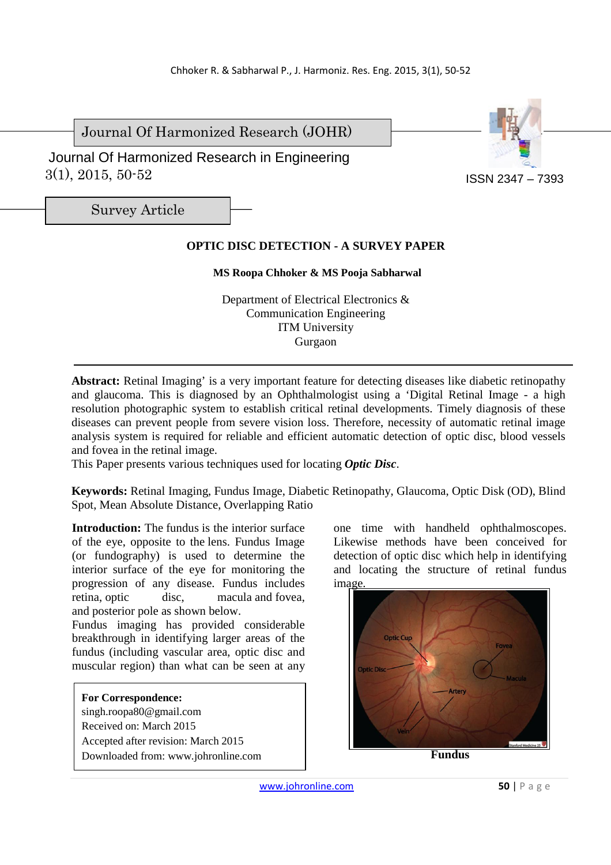Journal Of Harmonized Research (JOHR)

 3(1), 2015, 50-52 Journal Of Harmonized Research in Engineering



Survey Article

### **OPTIC DISC DETECTION - A SURVEY PAPER**

#### **MS Roopa Chhoker & MS Pooja Sabharwal**

Department of Electrical Electronics & Communication Engineering ITM University Gurgaon

**Abstract:** Retinal Imaging' is a very important feature for detecting diseases like diabetic retinopathy and glaucoma. This is diagnosed by an Ophthalmologist using a 'Digital Retinal Image - a high resolution photographic system to establish critical retinal developments. Timely diagnosis of these diseases can prevent people from severe vision loss. Therefore, necessity of automatic retinal image analysis system is required for reliable and efficient automatic detection of optic disc, blood vessels and fovea in the retinal image.

This Paper presents various techniques used for locating *Optic Disc*.

**Keywords:** Retinal Imaging, Fundus Image, Diabetic Retinopathy, Glaucoma, Optic Disk (OD), Blind Spot, Mean Absolute Distance, Overlapping Ratio

**Introduction:** The fundus is the interior surface of the eye, opposite to the lens. Fundus Image (or fundography) is used to determine the interior surface of the eye for monitoring the progression of any disease. Fundus includes retina, optic disc, macula and fovea, and posterior pole as shown below.

Fundus imaging has provided considerable breakthrough in identifying larger areas of the fundus (including vascular area, optic disc and muscular region) than what can be seen at any



one time with handheld ophthalmoscopes. Likewise methods have been conceived for detection of optic disc which help in identifying and locating the structure of retinal fundus image.



**Fundus** 

www.johronline.com **50** | P a g e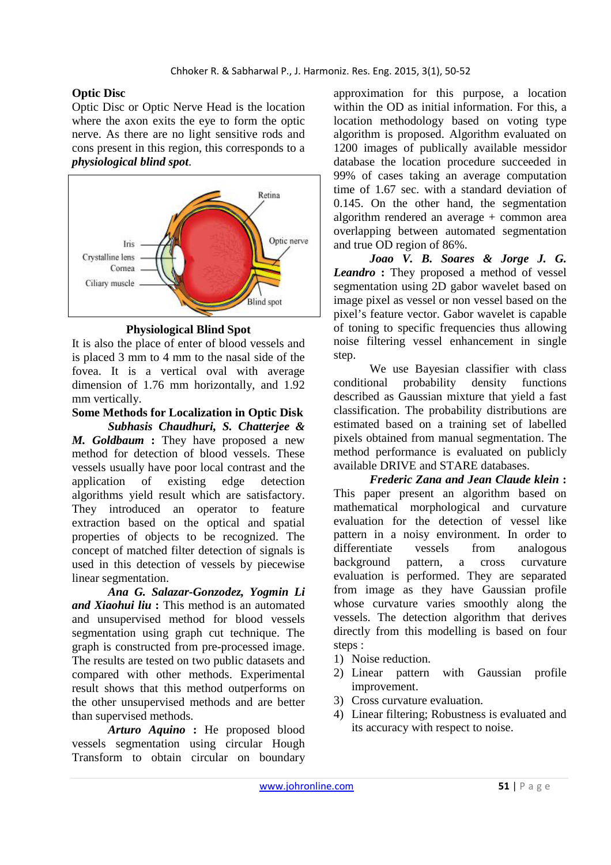## **Optic Disc**

Optic Disc or Optic Nerve Head is the location where the axon exits the eye to form the optic nerve. As there are no light sensitive rods and cons present in this region, this corresponds to a *physiological blind spot*.



**Physiological Blind Spot**

It is also the place of enter of blood vessels and is placed 3 mm to 4 mm to the nasal side of the fovea. It is a vertical oval with average dimension of 1.76 mm horizontally, and 1.92 mm vertically.

**Some Methods for Localization in Optic Disk** 

*Subhasis Chaudhuri, S. Chatterjee & M. Goldbaum* **:** They have proposed a new method for detection of blood vessels. These vessels usually have poor local contrast and the application of existing edge detection algorithms yield result which are satisfactory. They introduced an operator to feature extraction based on the optical and spatial properties of objects to be recognized. The concept of matched filter detection of signals is used in this detection of vessels by piecewise linear segmentation.

*Ana G. Salazar-Gonzodez, Yogmin Li and Xiaohui liu* **:** This method is an automated and unsupervised method for blood vessels segmentation using graph cut technique. The graph is constructed from pre-processed image. The results are tested on two public datasets and compared with other methods. Experimental result shows that this method outperforms on the other unsupervised methods and are better than supervised methods.

*Arturo Aquino* **:** He proposed blood vessels segmentation using circular Hough Transform to obtain circular on boundary

approximation for this purpose, a location within the OD as initial information. For this, a location methodology based on voting type algorithm is proposed. Algorithm evaluated on 1200 images of publically available messidor database the location procedure succeeded in 99% of cases taking an average computation time of 1.67 sec. with a standard deviation of 0.145. On the other hand, the segmentation algorithm rendered an average + common area overlapping between automated segmentation and true OD region of 86%.

*Joao V. B. Soares & Jorge J. G. Leandro* **:** They proposed a method of vessel segmentation using 2D gabor wavelet based on image pixel as vessel or non vessel based on the pixel's feature vector. Gabor wavelet is capable of toning to specific frequencies thus allowing noise filtering vessel enhancement in single step.

We use Bayesian classifier with class conditional probability density functions described as Gaussian mixture that yield a fast classification. The probability distributions are estimated based on a training set of labelled pixels obtained from manual segmentation. The method performance is evaluated on publicly available DRIVE and STARE databases.

*Frederic Zana and Jean Claude klein* **:** This paper present an algorithm based on mathematical morphological and curvature evaluation for the detection of vessel like pattern in a noisy environment. In order to differentiate vessels from analogous background pattern, a cross curvature evaluation is performed. They are separated from image as they have Gaussian profile whose curvature varies smoothly along the vessels. The detection algorithm that derives directly from this modelling is based on four steps :

- 1) Noise reduction.
- 2) Linear pattern with Gaussian profile improvement.
- 3) Cross curvature evaluation.
- 4) Linear filtering; Robustness is evaluated and its accuracy with respect to noise.